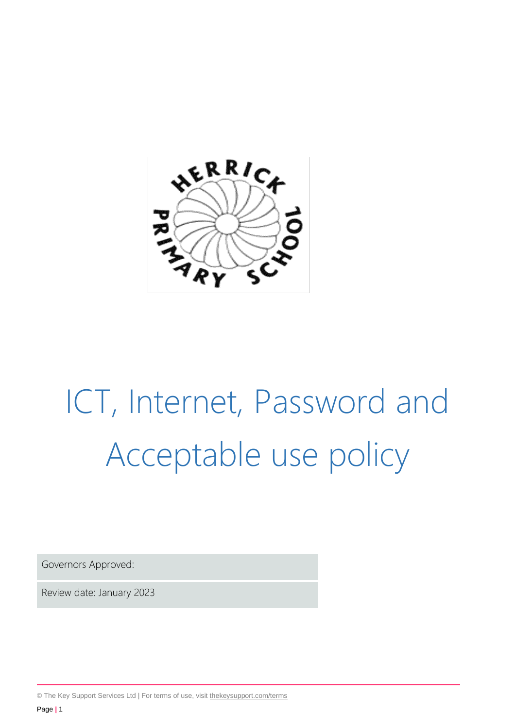

# ICT, Internet, Password and Acceptable use policy

Governors Approved:

Review date: January 2023

© The Key Support Services Ltd | For terms of use, visit [thekeysupport.com/terms](https://thekeysupport.com/terms-of-use)

Page **|** 1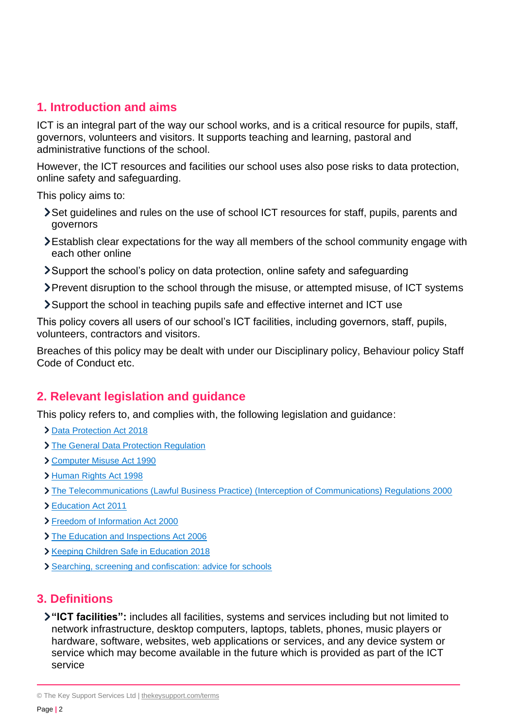#### **1. Introduction and aims**

ICT is an integral part of the way our school works, and is a critical resource for pupils, staff, governors, volunteers and visitors. It supports teaching and learning, pastoral and administrative functions of the school.

However, the ICT resources and facilities our school uses also pose risks to data protection, online safety and safeguarding.

This policy aims to:

- Set guidelines and rules on the use of school ICT resources for staff, pupils, parents and governors
- Establish clear expectations for the way all members of the school community engage with each other online
- Support the school's policy on data protection, online safety and safeguarding
- Prevent disruption to the school through the misuse, or attempted misuse, of ICT systems
- Support the school in teaching pupils safe and effective internet and ICT use

This policy covers all users of our school's ICT facilities, including governors, staff, pupils, volunteers, contractors and visitors.

Breaches of this policy may be dealt with under our Disciplinary policy, Behaviour policy Staff Code of Conduct etc.

## **2. Relevant legislation and guidance**

This policy refers to, and complies with, the following legislation and guidance:

- > [Data Protection Act 2018](http://www.legislation.gov.uk/ukpga/2018/12/contents/enacted)
- > [The General Data Protection Regulation](https://eur-lex.europa.eu/legal-content/EN/TXT/HTML/?uri=CELEX:32016R0679)
- [Computer Misuse Act 1990](https://www.legislation.gov.uk/ukpga/1990/18/contents)
- [Human Rights Act 1998](https://www.legislation.gov.uk/ukpga/1998/42/contents)
- [The Telecommunications \(Lawful Business Practice\) \(Interception of Communications\) Regulations 2000](https://www.legislation.gov.uk/uksi/2000/2699/regulation/3/made)
- [Education Act 2011](http://www.legislation.gov.uk/ukpga/2011/21/section/2/enacted)
- [Freedom of Information Act 2000](https://www.legislation.gov.uk/ukpga/2000/36/contents)
- > [The Education and Inspections Act 2006](https://www.legislation.gov.uk/ukpga/2006/40/part/7/chapter/1)
- **> [Keeping Children Safe in Education 2018](https://www.gov.uk/government/publications/keeping-children-safe-in-education--2)**
- [Searching, screening and confiscation: advice for schools](https://www.gov.uk/government/publications/searching-screening-and-confiscation)

#### **3. Definitions**

**"ICT facilities":** includes all facilities, systems and services including but not limited to network infrastructure, desktop computers, laptops, tablets, phones, music players or hardware, software, websites, web applications or services, and any device system or service which may become available in the future which is provided as part of the ICT service

<sup>©</sup> The Key Support Services Ltd | [thekeysupport.com/terms](https://thekeysupport.com/terms-of-use)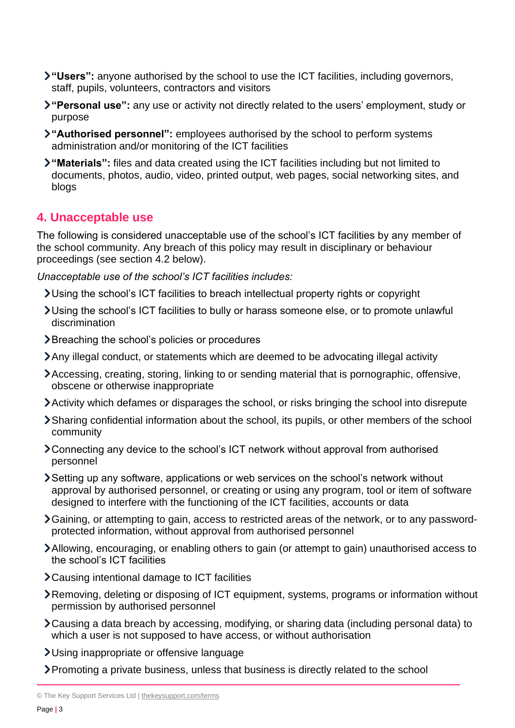- **"Users":** anyone authorised by the school to use the ICT facilities, including governors, staff, pupils, volunteers, contractors and visitors
- **"Personal use":** any use or activity not directly related to the users' employment, study or purpose
- **"Authorised personnel":** employees authorised by the school to perform systems administration and/or monitoring of the ICT facilities
- **"Materials":** files and data created using the ICT facilities including but not limited to documents, photos, audio, video, printed output, web pages, social networking sites, and blogs

## **4. Unacceptable use**

The following is considered unacceptable use of the school's ICT facilities by any member of the school community. Any breach of this policy may result in disciplinary or behaviour proceedings (see section 4.2 below).

*Unacceptable use of the school's ICT facilities includes:*

- Using the school's ICT facilities to breach intellectual property rights or copyright
- Using the school's ICT facilities to bully or harass someone else, or to promote unlawful discrimination
- **>** Breaching the school's policies or procedures
- Any illegal conduct, or statements which are deemed to be advocating illegal activity
- Accessing, creating, storing, linking to or sending material that is pornographic, offensive, obscene or otherwise inappropriate
- Activity which defames or disparages the school, or risks bringing the school into disrepute
- Sharing confidential information about the school, its pupils, or other members of the school community
- Connecting any device to the school's ICT network without approval from authorised personnel
- Setting up any software, applications or web services on the school's network without approval by authorised personnel, or creating or using any program, tool or item of software designed to interfere with the functioning of the ICT facilities, accounts or data
- Gaining, or attempting to gain, access to restricted areas of the network, or to any passwordprotected information, without approval from authorised personnel
- Allowing, encouraging, or enabling others to gain (or attempt to gain) unauthorised access to the school's ICT facilities
- Causing intentional damage to ICT facilities
- Removing, deleting or disposing of ICT equipment, systems, programs or information without permission by authorised personnel
- Causing a data breach by accessing, modifying, or sharing data (including personal data) to which a user is not supposed to have access, or without authorisation
- Using inappropriate or offensive language
- Promoting a private business, unless that business is directly related to the school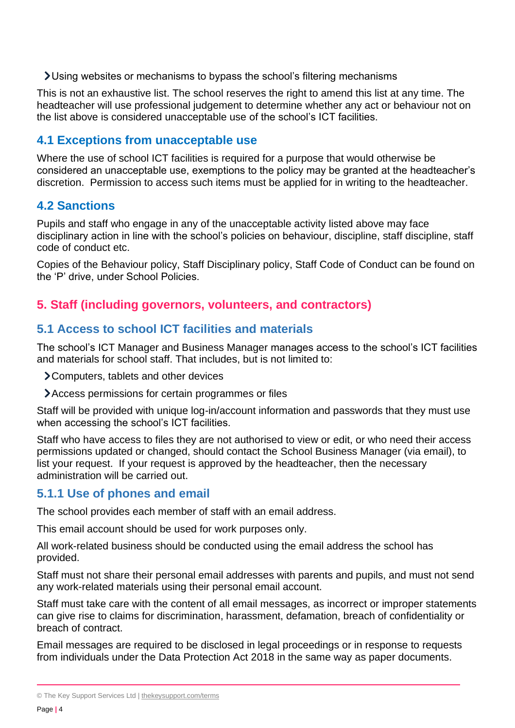Using websites or mechanisms to bypass the school's filtering mechanisms

This is not an exhaustive list. The school reserves the right to amend this list at any time. The headteacher will use professional judgement to determine whether any act or behaviour not on the list above is considered unacceptable use of the school's ICT facilities.

## **4.1 Exceptions from unacceptable use**

Where the use of school ICT facilities is required for a purpose that would otherwise be considered an unacceptable use, exemptions to the policy may be granted at the headteacher's discretion. Permission to access such items must be applied for in writing to the headteacher.

#### **4.2 Sanctions**

Pupils and staff who engage in any of the unacceptable activity listed above may face disciplinary action in line with the school's policies on behaviour, discipline, staff discipline, staff code of conduct etc.

Copies of the Behaviour policy, Staff Disciplinary policy, Staff Code of Conduct can be found on the 'P' drive, under School Policies.

## **5. Staff (including governors, volunteers, and contractors)**

#### **5.1 Access to school ICT facilities and materials**

The school's ICT Manager and Business Manager manages access to the school's ICT facilities and materials for school staff. That includes, but is not limited to:

> Computers, tablets and other devices

Access permissions for certain programmes or files

Staff will be provided with unique log-in/account information and passwords that they must use when accessing the school's ICT facilities.

Staff who have access to files they are not authorised to view or edit, or who need their access permissions updated or changed, should contact the School Business Manager (via email), to list your request. If your request is approved by the headteacher, then the necessary administration will be carried out.

#### **5.1.1 Use of phones and email**

The school provides each member of staff with an email address.

This email account should be used for work purposes only.

All work-related business should be conducted using the email address the school has provided.

Staff must not share their personal email addresses with parents and pupils, and must not send any work-related materials using their personal email account.

Staff must take care with the content of all email messages, as incorrect or improper statements can give rise to claims for discrimination, harassment, defamation, breach of confidentiality or breach of contract.

Email messages are required to be disclosed in legal proceedings or in response to requests from individuals under the Data Protection Act 2018 in the same way as paper documents.

<sup>©</sup> The Key Support Services Ltd | [thekeysupport.com/terms](https://thekeysupport.com/terms-of-use)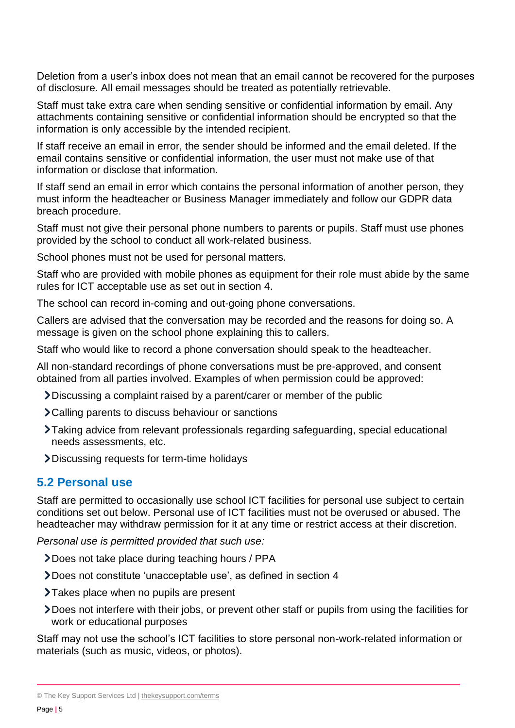Deletion from a user's inbox does not mean that an email cannot be recovered for the purposes of disclosure. All email messages should be treated as potentially retrievable.

Staff must take extra care when sending sensitive or confidential information by email. Any attachments containing sensitive or confidential information should be encrypted so that the information is only accessible by the intended recipient.

If staff receive an email in error, the sender should be informed and the email deleted. If the email contains sensitive or confidential information, the user must not make use of that information or disclose that information.

If staff send an email in error which contains the personal information of another person, they must inform the headteacher or Business Manager immediately and follow our GDPR data breach procedure.

Staff must not give their personal phone numbers to parents or pupils. Staff must use phones provided by the school to conduct all work-related business.

School phones must not be used for personal matters.

Staff who are provided with mobile phones as equipment for their role must abide by the same rules for ICT acceptable use as set out in section 4.

The school can record in-coming and out-going phone conversations.

Callers are advised that the conversation may be recorded and the reasons for doing so. A message is given on the school phone explaining this to callers.

Staff who would like to record a phone conversation should speak to the headteacher.

All non-standard recordings of phone conversations must be pre-approved, and consent obtained from all parties involved. Examples of when permission could be approved:

- Discussing a complaint raised by a parent/carer or member of the public
- Calling parents to discuss behaviour or sanctions
- Taking advice from relevant professionals regarding safeguarding, special educational needs assessments, etc.
- Discussing requests for term-time holidays

#### **5.2 Personal use**

Staff are permitted to occasionally use school ICT facilities for personal use subject to certain conditions set out below. Personal use of ICT facilities must not be overused or abused. The headteacher may withdraw permission for it at any time or restrict access at their discretion.

*Personal use is permitted provided that such use:*

- Does not take place during teaching hours / PPA
- Does not constitute 'unacceptable use', as defined in section 4
- >Takes place when no pupils are present
- Does not interfere with their jobs, or prevent other staff or pupils from using the facilities for work or educational purposes

Staff may not use the school's ICT facilities to store personal non-work-related information or materials (such as music, videos, or photos).

<sup>©</sup> The Key Support Services Ltd | [thekeysupport.com/terms](https://thekeysupport.com/terms-of-use)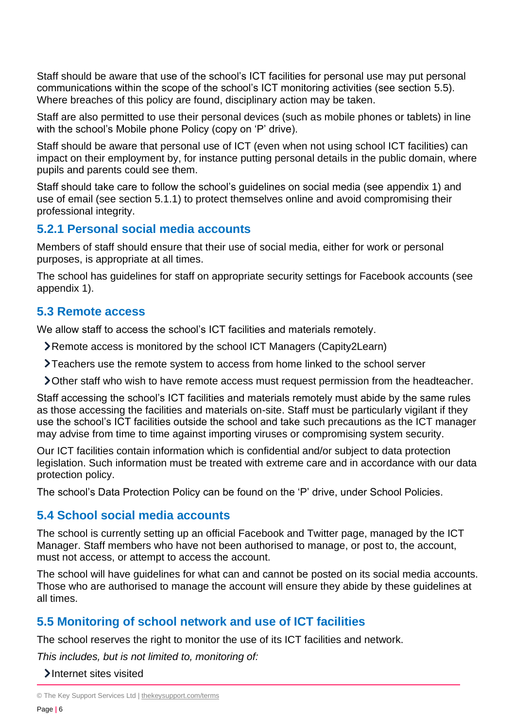Staff should be aware that use of the school's ICT facilities for personal use may put personal communications within the scope of the school's ICT monitoring activities (see section 5.5). Where breaches of this policy are found, disciplinary action may be taken.

Staff are also permitted to use their personal devices (such as mobile phones or tablets) in line with the school's Mobile phone Policy (copy on 'P' drive).

Staff should be aware that personal use of ICT (even when not using school ICT facilities) can impact on their employment by, for instance putting personal details in the public domain, where pupils and parents could see them.

Staff should take care to follow the school's guidelines on social media (see appendix 1) and use of email (see section 5.1.1) to protect themselves online and avoid compromising their professional integrity.

#### **5.2.1 Personal social media accounts**

Members of staff should ensure that their use of social media, either for work or personal purposes, is appropriate at all times.

The school has guidelines for staff on appropriate security settings for Facebook accounts (see appendix 1).

#### **5.3 Remote access**

We allow staff to access the school's ICT facilities and materials remotely.

- Remote access is monitored by the school ICT Managers (Capity2Learn)
- Teachers use the remote system to access from home linked to the school server
- Other staff who wish to have remote access must request permission from the headteacher.

Staff accessing the school's ICT facilities and materials remotely must abide by the same rules as those accessing the facilities and materials on-site. Staff must be particularly vigilant if they use the school's ICT facilities outside the school and take such precautions as the ICT manager may advise from time to time against importing viruses or compromising system security.

Our ICT facilities contain information which is confidential and/or subject to data protection legislation. Such information must be treated with extreme care and in accordance with our data protection policy.

The school's Data Protection Policy can be found on the 'P' drive, under School Policies.

#### **5.4 School social media accounts**

The school is currently setting up an official Facebook and Twitter page, managed by the ICT Manager. Staff members who have not been authorised to manage, or post to, the account, must not access, or attempt to access the account.

The school will have guidelines for what can and cannot be posted on its social media accounts. Those who are authorised to manage the account will ensure they abide by these guidelines at all times.

#### **5.5 Monitoring of school network and use of ICT facilities**

The school reserves the right to monitor the use of its ICT facilities and network.

*This includes, but is not limited to, monitoring of:*

Internet sites visited

<sup>©</sup> The Key Support Services Ltd | [thekeysupport.com/terms](https://thekeysupport.com/terms-of-use)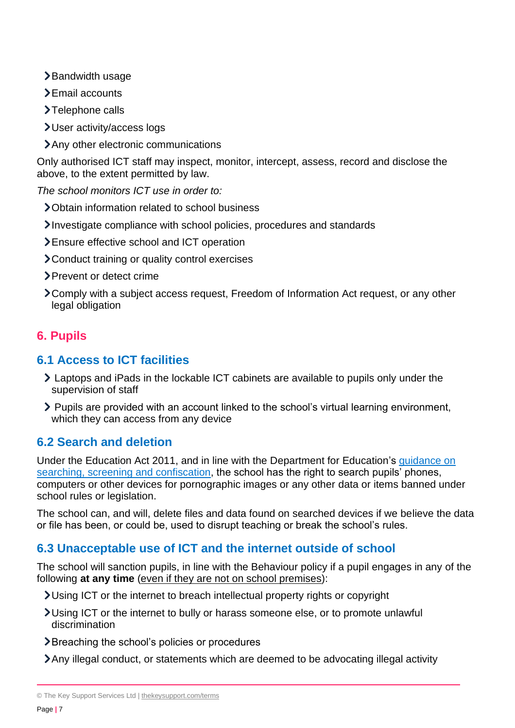- >Bandwidth usage
- > Email accounts
- $\blacktriangleright$  Telephone calls
- User activity/access logs
- Any other electronic communications

Only authorised ICT staff may inspect, monitor, intercept, assess, record and disclose the above, to the extent permitted by law.

*The school monitors ICT use in order to:*

- Obtain information related to school business
- Investigate compliance with school policies, procedures and standards
- Ensure effective school and ICT operation
- Conduct training or quality control exercises
- > Prevent or detect crime
- Comply with a subject access request, Freedom of Information Act request, or any other legal obligation

## **6. Pupils**

#### **6.1 Access to ICT facilities**

- Laptops and iPads in the lockable ICT cabinets are available to pupils only under the supervision of staff
- Pupils are provided with an account linked to the school's virtual learning environment, which they can access from any device

## **6.2 Search and deletion**

Under the Education Act 2011, and in line with the Department for Education's [guidance on](https://www.gov.uk/government/publications/searching-screening-and-confiscation)  [searching, screening and confiscation,](https://www.gov.uk/government/publications/searching-screening-and-confiscation) the school has the right to search pupils' phones, computers or other devices for pornographic images or any other data or items banned under school rules or legislation.

The school can, and will, delete files and data found on searched devices if we believe the data or file has been, or could be, used to disrupt teaching or break the school's rules.

## **6.3 Unacceptable use of ICT and the internet outside of school**

The school will sanction pupils, in line with the Behaviour policy if a pupil engages in any of the following **at any time** (even if they are not on school premises):

Using ICT or the internet to breach intellectual property rights or copyright

- Using ICT or the internet to bully or harass someone else, or to promote unlawful discrimination
- Breaching the school's policies or procedures

Any illegal conduct, or statements which are deemed to be advocating illegal activity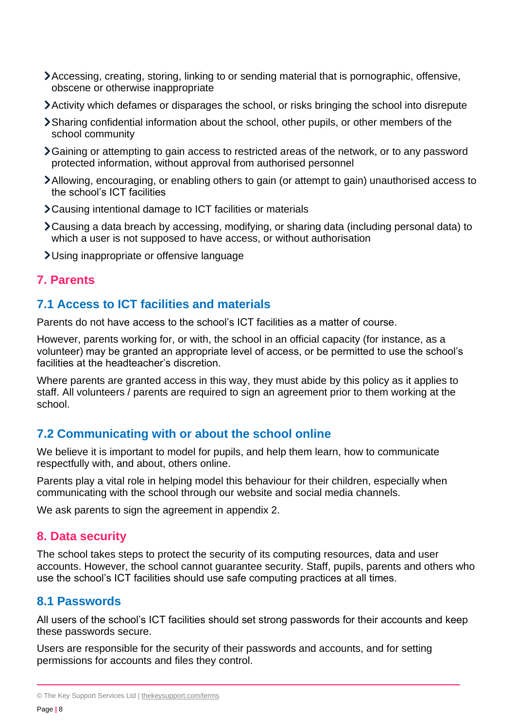- Accessing, creating, storing, linking to or sending material that is pornographic, offensive, obscene or otherwise inappropriate
- Activity which defames or disparages the school, or risks bringing the school into disrepute
- Sharing confidential information about the school, other pupils, or other members of the school community
- Gaining or attempting to gain access to restricted areas of the network, or to any password protected information, without approval from authorised personnel
- Allowing, encouraging, or enabling others to gain (or attempt to gain) unauthorised access to the school's ICT facilities
- Causing intentional damage to ICT facilities or materials
- Causing a data breach by accessing, modifying, or sharing data (including personal data) to which a user is not supposed to have access, or without authorisation
- Using inappropriate or offensive language

#### **7. Parents**

## **7.1 Access to ICT facilities and materials**

Parents do not have access to the school's ICT facilities as a matter of course.

However, parents working for, or with, the school in an official capacity (for instance, as a volunteer) may be granted an appropriate level of access, or be permitted to use the school's facilities at the headteacher's discretion.

Where parents are granted access in this way, they must abide by this policy as it applies to staff. All volunteers / parents are required to sign an agreement prior to them working at the school.

#### **7.2 Communicating with or about the school online**

We believe it is important to model for pupils, and help them learn, how to communicate respectfully with, and about, others online.

Parents play a vital role in helping model this behaviour for their children, especially when communicating with the school through our website and social media channels.

We ask parents to sign the agreement in appendix 2.

#### **8. Data security**

The school takes steps to protect the security of its computing resources, data and user accounts. However, the school cannot guarantee security. Staff, pupils, parents and others who use the school's ICT facilities should use safe computing practices at all times.

#### **8.1 Passwords**

All users of the school's ICT facilities should set strong passwords for their accounts and keep these passwords secure.

Users are responsible for the security of their passwords and accounts, and for setting permissions for accounts and files they control.

<sup>©</sup> The Key Support Services Ltd | [thekeysupport.com/terms](https://thekeysupport.com/terms-of-use)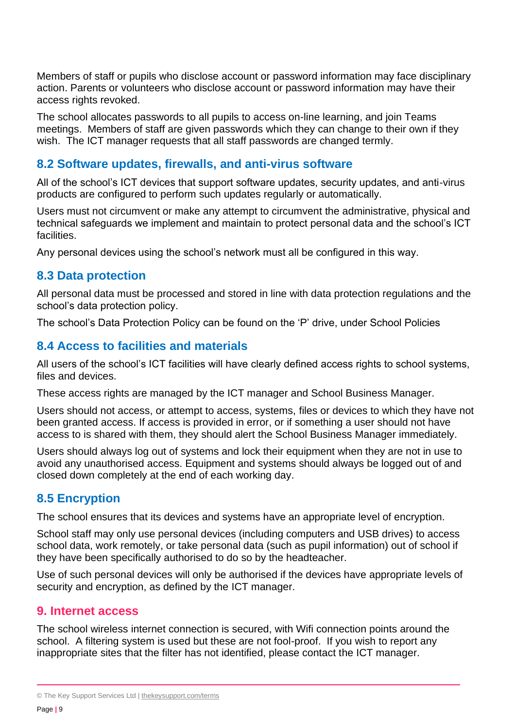Members of staff or pupils who disclose account or password information may face disciplinary action. Parents or volunteers who disclose account or password information may have their access rights revoked.

The school allocates passwords to all pupils to access on-line learning, and join Teams meetings. Members of staff are given passwords which they can change to their own if they wish. The ICT manager requests that all staff passwords are changed termly.

#### **8.2 Software updates, firewalls, and anti-virus software**

All of the school's ICT devices that support software updates, security updates, and anti-virus products are configured to perform such updates regularly or automatically.

Users must not circumvent or make any attempt to circumvent the administrative, physical and technical safeguards we implement and maintain to protect personal data and the school's ICT **facilities** 

Any personal devices using the school's network must all be configured in this way.

#### **8.3 Data protection**

All personal data must be processed and stored in line with data protection regulations and the school's data protection policy.

The school's Data Protection Policy can be found on the 'P' drive, under School Policies

#### **8.4 Access to facilities and materials**

All users of the school's ICT facilities will have clearly defined access rights to school systems, files and devices.

These access rights are managed by the ICT manager and School Business Manager.

Users should not access, or attempt to access, systems, files or devices to which they have not been granted access. If access is provided in error, or if something a user should not have access to is shared with them, they should alert the School Business Manager immediately.

Users should always log out of systems and lock their equipment when they are not in use to avoid any unauthorised access. Equipment and systems should always be logged out of and closed down completely at the end of each working day.

#### **8.5 Encryption**

The school ensures that its devices and systems have an appropriate level of encryption.

School staff may only use personal devices (including computers and USB drives) to access school data, work remotely, or take personal data (such as pupil information) out of school if they have been specifically authorised to do so by the headteacher.

Use of such personal devices will only be authorised if the devices have appropriate levels of security and encryption, as defined by the ICT manager.

#### **9. Internet access**

The school wireless internet connection is secured, with Wifi connection points around the school. A filtering system is used but these are not fool-proof. If you wish to report any inappropriate sites that the filter has not identified, please contact the ICT manager.

<sup>©</sup> The Key Support Services Ltd | [thekeysupport.com/terms](https://thekeysupport.com/terms-of-use)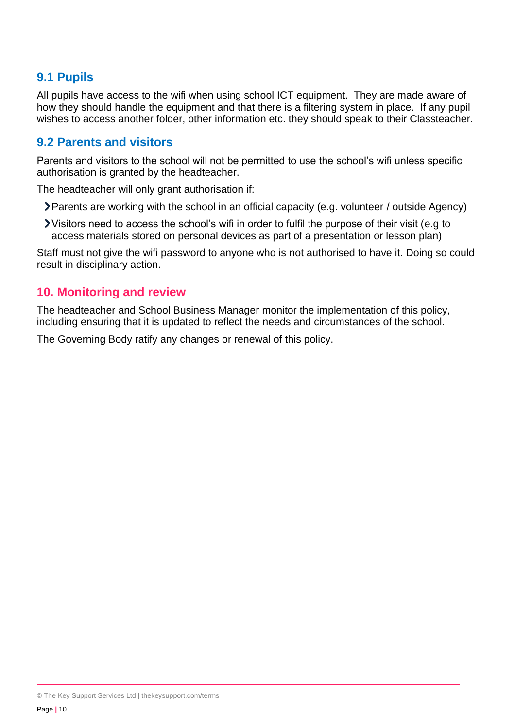## **9.1 Pupils**

All pupils have access to the wifi when using school ICT equipment. They are made aware of how they should handle the equipment and that there is a filtering system in place. If any pupil wishes to access another folder, other information etc. they should speak to their Classteacher.

#### **9.2 Parents and visitors**

Parents and visitors to the school will not be permitted to use the school's wifi unless specific authorisation is granted by the headteacher.

The headteacher will only grant authorisation if:

- Parents are working with the school in an official capacity (e.g. volunteer / outside Agency)
- Visitors need to access the school's wifi in order to fulfil the purpose of their visit (e.g to access materials stored on personal devices as part of a presentation or lesson plan)

Staff must not give the wifi password to anyone who is not authorised to have it. Doing so could result in disciplinary action.

#### **10. Monitoring and review**

The headteacher and School Business Manager monitor the implementation of this policy, including ensuring that it is updated to reflect the needs and circumstances of the school.

The Governing Body ratify any changes or renewal of this policy.

<sup>©</sup> The Key Support Services Ltd | [thekeysupport.com/terms](https://thekeysupport.com/terms-of-use)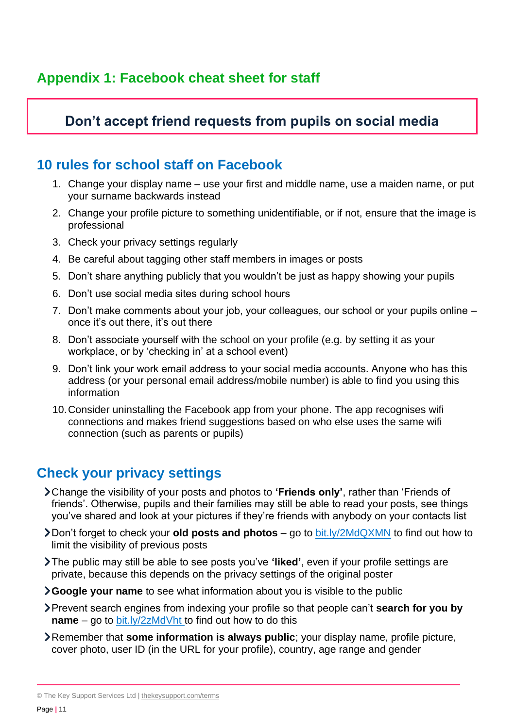# **Appendix 1: Facebook cheat sheet for staff**

# **Don't accept friend requests from pupils on social media**

# **10 rules for school staff on Facebook**

- 1. Change your display name use your first and middle name, use a maiden name, or put your surname backwards instead
- 2. Change your profile picture to something unidentifiable, or if not, ensure that the image is professional
- 3. Check your privacy settings regularly
- 4. Be careful about tagging other staff members in images or posts
- 5. Don't share anything publicly that you wouldn't be just as happy showing your pupils
- 6. Don't use social media sites during school hours
- 7. Don't make comments about your job, your colleagues, our school or your pupils online once it's out there, it's out there
- 8. Don't associate yourself with the school on your profile (e.g. by setting it as your workplace, or by 'checking in' at a school event)
- 9. Don't link your work email address to your social media accounts. Anyone who has this address (or your personal email address/mobile number) is able to find you using this information
- 10.Consider uninstalling the Facebook app from your phone. The app recognises wifi connections and makes friend suggestions based on who else uses the same wifi connection (such as parents or pupils)

# **Check your privacy settings**

- Change the visibility of your posts and photos to **'Friends only'**, rather than 'Friends of friends'. Otherwise, pupils and their families may still be able to read your posts, see things you've shared and look at your pictures if they're friends with anybody on your contacts list
- Don't forget to check your **old posts and photos** go to [bit.ly/2MdQXMN](https://www.facebook.com/help/iphone-app/236898969688346?helpref=uf_permalink) to find out how to limit the visibility of previous posts
- The public may still be able to see posts you've **'liked'**, even if your profile settings are private, because this depends on the privacy settings of the original poster
- **Google your name** to see what information about you is visible to the public
- Prevent search engines from indexing your profile so that people can't **search for you by name** – go to [bit.ly/2zMdVht t](https://www.facebook.com/help/124518907626945?helpref=faq_content)o find out how to do this
- Remember that **some information is always public**; your display name, profile picture, cover photo, user ID (in the URL for your profile), country, age range and gender

<sup>©</sup> The Key Support Services Ltd | [thekeysupport.com/terms](https://thekeysupport.com/terms-of-use)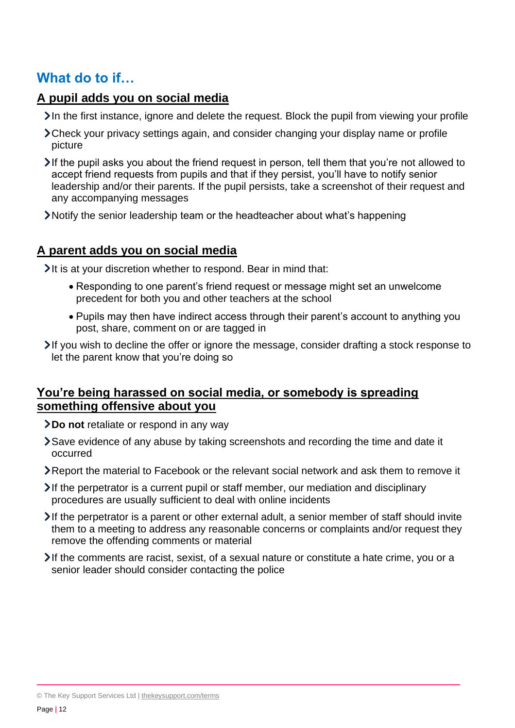# **What do to if…**

#### **A pupil adds you on social media**

- In the first instance, ignore and delete the request. Block the pupil from viewing your profile
- Check your privacy settings again, and consider changing your display name or profile picture
- $\blacktriangleright$  If the pupil asks you about the friend request in person, tell them that you're not allowed to accept friend requests from pupils and that if they persist, you'll have to notify senior leadership and/or their parents. If the pupil persists, take a screenshot of their request and any accompanying messages
- Notify the senior leadership team or the headteacher about what's happening

#### **A parent adds you on social media**

It is at your discretion whether to respond. Bear in mind that:

- Responding to one parent's friend request or message might set an unwelcome precedent for both you and other teachers at the school
- Pupils may then have indirect access through their parent's account to anything you post, share, comment on or are tagged in

If you wish to decline the offer or ignore the message, consider drafting a stock response to let the parent know that you're doing so

#### **You're being harassed on social media, or somebody is spreading something offensive about you**

- **Do not** retaliate or respond in any way
- Save evidence of any abuse by taking screenshots and recording the time and date it occurred
- Report the material to Facebook or the relevant social network and ask them to remove it
- $\lambda$  If the perpetrator is a current pupil or staff member, our mediation and disciplinary procedures are usually sufficient to deal with online incidents
- $\lambda$  If the perpetrator is a parent or other external adult, a senior member of staff should invite them to a meeting to address any reasonable concerns or complaints and/or request they remove the offending comments or material
- If the comments are racist, sexist, of a sexual nature or constitute a hate crime, you or a senior leader should consider contacting the police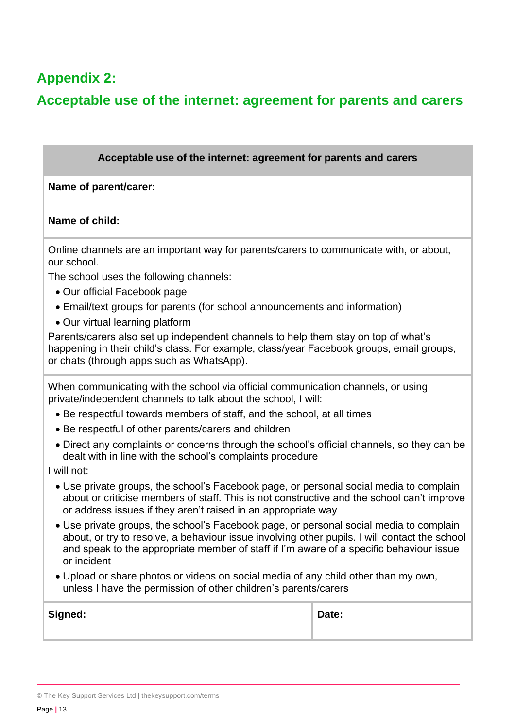# **Appendix 2:**

# **Acceptable use of the internet: agreement for parents and carers**

#### **Acceptable use of the internet: agreement for parents and carers**

#### **Name of parent/carer:**

#### **Name of child:**

Online channels are an important way for parents/carers to communicate with, or about, our school.

The school uses the following channels:

- Our official Facebook page
- Email/text groups for parents (for school announcements and information)
- Our virtual learning platform

Parents/carers also set up independent channels to help them stay on top of what's happening in their child's class. For example, class/year Facebook groups, email groups, or chats (through apps such as WhatsApp).

When communicating with the school via official communication channels, or using private/independent channels to talk about the school, I will:

- Be respectful towards members of staff, and the school, at all times
- Be respectful of other parents/carers and children
- Direct any complaints or concerns through the school's official channels, so they can be dealt with in line with the school's complaints procedure

I will not:

- Use private groups, the school's Facebook page, or personal social media to complain about or criticise members of staff. This is not constructive and the school can't improve or address issues if they aren't raised in an appropriate way
- Use private groups, the school's Facebook page, or personal social media to complain about, or try to resolve, a behaviour issue involving other pupils. I will contact the school and speak to the appropriate member of staff if I'm aware of a specific behaviour issue or incident
- Upload or share photos or videos on social media of any child other than my own, unless I have the permission of other children's parents/carers

| Signed: | Date: |
|---------|-------|
|         |       |

<sup>©</sup> The Key Support Services Ltd | [thekeysupport.com/terms](https://thekeysupport.com/terms-of-use)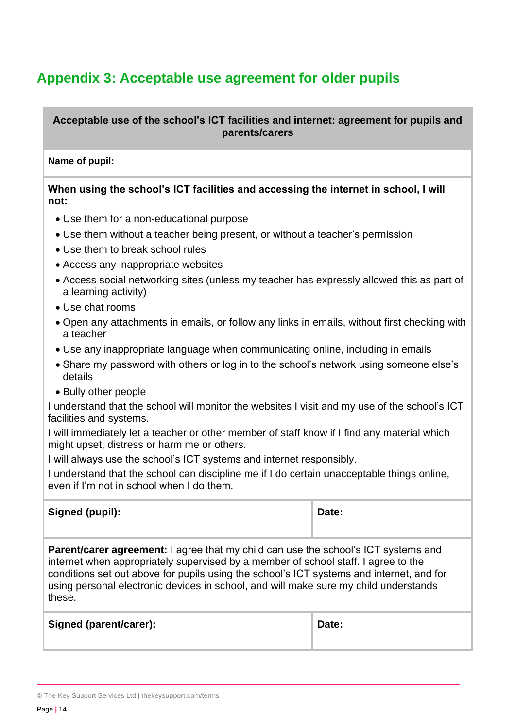# **Appendix 3: Acceptable use agreement for older pupils**

**Acceptable use of the school's ICT facilities and internet: agreement for pupils and parents/carers**

#### **Name of pupil:**

**When using the school's ICT facilities and accessing the internet in school, I will not:** 

- Use them for a non-educational purpose
- Use them without a teacher being present, or without a teacher's permission
- Use them to break school rules
- Access any inappropriate websites
- Access social networking sites (unless my teacher has expressly allowed this as part of a learning activity)
- Use chat rooms
- Open any attachments in emails, or follow any links in emails, without first checking with a teacher
- Use any inappropriate language when communicating online, including in emails
- Share my password with others or log in to the school's network using someone else's details
- Bully other people

I understand that the school will monitor the websites I visit and my use of the school's ICT facilities and systems.

I will immediately let a teacher or other member of staff know if I find any material which might upset, distress or harm me or others.

I will always use the school's ICT systems and internet responsibly.

I understand that the school can discipline me if I do certain unacceptable things online, even if I'm not in school when I do them.

| Signed (pupil):                                                                                                                                                                                                                                                                                                                                                               | Date: |
|-------------------------------------------------------------------------------------------------------------------------------------------------------------------------------------------------------------------------------------------------------------------------------------------------------------------------------------------------------------------------------|-------|
| <b>Parent/carer agreement:</b> I agree that my child can use the school's ICT systems and<br>internet when appropriately supervised by a member of school staff. I agree to the<br>conditions set out above for pupils using the school's ICT systems and internet, and for<br>using personal electronic devices in school, and will make sure my child understands<br>these. |       |
| Signed (parent/carer):                                                                                                                                                                                                                                                                                                                                                        | Date: |

<sup>©</sup> The Key Support Services Ltd | [thekeysupport.com/terms](https://thekeysupport.com/terms-of-use)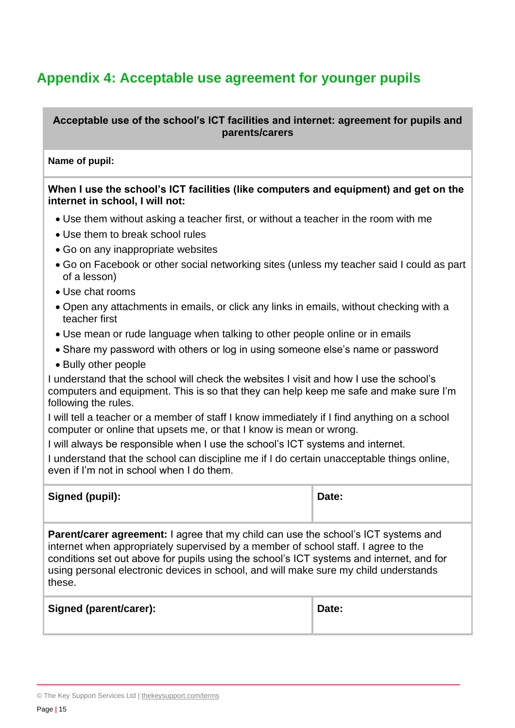# **Appendix 4: Acceptable use agreement for younger pupils**

**Acceptable use of the school's ICT facilities and internet: agreement for pupils and parents/carers**

#### **Name of pupil:**

**When I use the school's ICT facilities (like computers and equipment) and get on the internet in school, I will not:** 

- Use them without asking a teacher first, or without a teacher in the room with me
- Use them to break school rules
- Go on any inappropriate websites
- Go on Facebook or other social networking sites (unless my teacher said I could as part of a lesson)
- Use chat rooms
- Open any attachments in emails, or click any links in emails, without checking with a teacher first
- Use mean or rude language when talking to other people online or in emails
- Share my password with others or log in using someone else's name or password
- Bully other people

I understand that the school will check the websites I visit and how I use the school's computers and equipment. This is so that they can help keep me safe and make sure I'm following the rules.

I will tell a teacher or a member of staff I know immediately if I find anything on a school computer or online that upsets me, or that I know is mean or wrong.

I will always be responsible when I use the school's ICT systems and internet.

I understand that the school can discipline me if I do certain unacceptable things online, even if I'm not in school when I do them.

| Signed (pupil):                                                                                                                                                                                                                                                                                                                                                               | Date: |
|-------------------------------------------------------------------------------------------------------------------------------------------------------------------------------------------------------------------------------------------------------------------------------------------------------------------------------------------------------------------------------|-------|
| <b>Parent/carer agreement:</b> I agree that my child can use the school's ICT systems and<br>internet when appropriately supervised by a member of school staff. I agree to the<br>conditions set out above for pupils using the school's ICT systems and internet, and for<br>using personal electronic devices in school, and will make sure my child understands<br>these. |       |

| <b>Signed (parent/carer):</b> | Date: |
|-------------------------------|-------|
|                               |       |

<sup>©</sup> The Key Support Services Ltd | [thekeysupport.com/terms](https://thekeysupport.com/terms-of-use)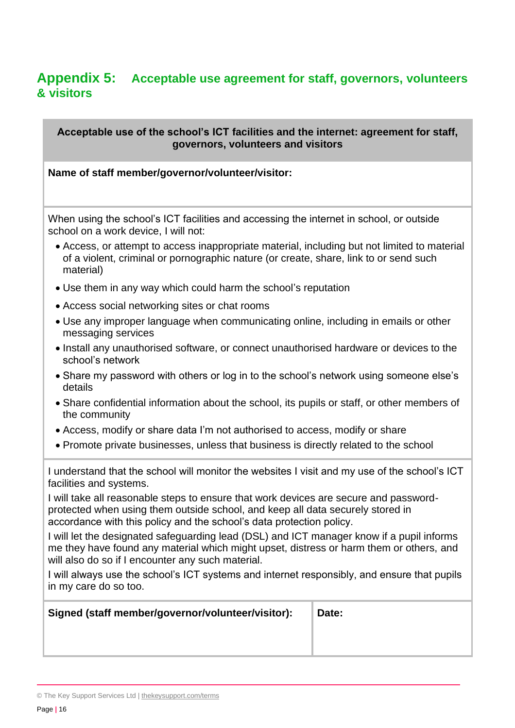# **Appendix 5: Acceptable use agreement for staff, governors, volunteers & visitors**

**Acceptable use of the school's ICT facilities and the internet: agreement for staff, governors, volunteers and visitors**

#### **Name of staff member/governor/volunteer/visitor:**

When using the school's ICT facilities and accessing the internet in school, or outside school on a work device, I will not:

- Access, or attempt to access inappropriate material, including but not limited to material of a violent, criminal or pornographic nature (or create, share, link to or send such material)
- Use them in any way which could harm the school's reputation
- Access social networking sites or chat rooms
- Use any improper language when communicating online, including in emails or other messaging services
- Install any unauthorised software, or connect unauthorised hardware or devices to the school's network
- Share my password with others or log in to the school's network using someone else's details
- Share confidential information about the school, its pupils or staff, or other members of the community
- Access, modify or share data I'm not authorised to access, modify or share
- Promote private businesses, unless that business is directly related to the school

I understand that the school will monitor the websites I visit and my use of the school's ICT facilities and systems.

I will take all reasonable steps to ensure that work devices are secure and passwordprotected when using them outside school, and keep all data securely stored in accordance with this policy and the school's data protection policy.

I will let the designated safeguarding lead (DSL) and ICT manager know if a pupil informs me they have found any material which might upset, distress or harm them or others, and will also do so if I encounter any such material.

I will always use the school's ICT systems and internet responsibly, and ensure that pupils in my care do so too.

| Signed (staff member/governor/volunteer/visitor): | Date: |
|---------------------------------------------------|-------|
|                                                   |       |
|                                                   |       |